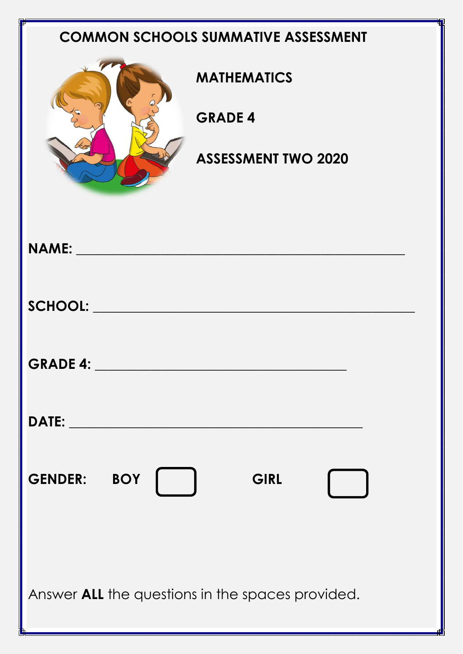## **COMMON SCHOOLS SUMMATIVE ASSESSMENT**



**MATHEMATICS**

**GRADE 4**

**ASSESSMENT TWO 2020**

| <b>GENDER: BOY</b><br><b>GIRL</b><br>a sa T             |  |  |  |  |
|---------------------------------------------------------|--|--|--|--|
| Answer <b>ALL</b> the questions in the spaces provided. |  |  |  |  |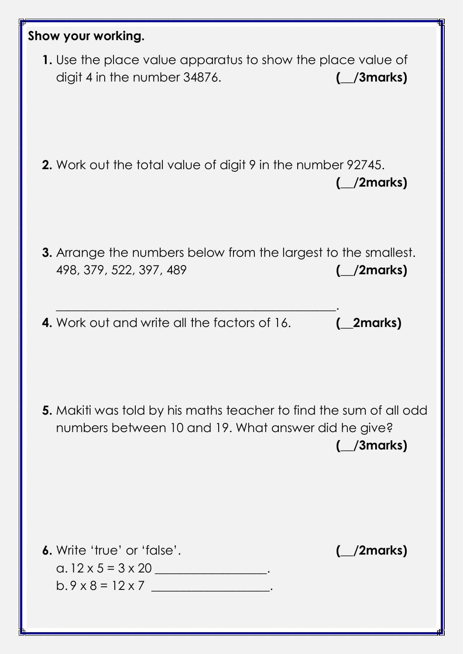| Show your working.                                                                                                               |                                 |
|----------------------------------------------------------------------------------------------------------------------------------|---------------------------------|
| 1. Use the place value apparatus to show the place value of<br>digit 4 in the number 34876.                                      | $\left(\frac{\ }{\ }$ /3 marks) |
| <b>2.</b> Work out the total value of digit 9 in the number 92745.                                                               | $\angle$ /2marks)               |
| <b>3.</b> Arrange the numbers below from the largest to the smallest.<br>498, 379, 522, 397, 489                                 | _/2marks)                       |
| <b>4.</b> Work out and write all the factors of 16.                                                                              | 2marks)                         |
| <b>5.</b> Makiti was told by his maths teacher to find the sum of all odd<br>numbers between 10 and 19. What answer did he give? | $(\_\_\$ 3marks)                |
| 6. Write 'true' or 'false'.<br>a. $12 \times 5 = 3 \times 20$ __________________.<br>$b.9 \times 8 = 12 \times 7$                | $\left(\frac{1}{2}$ marks)      |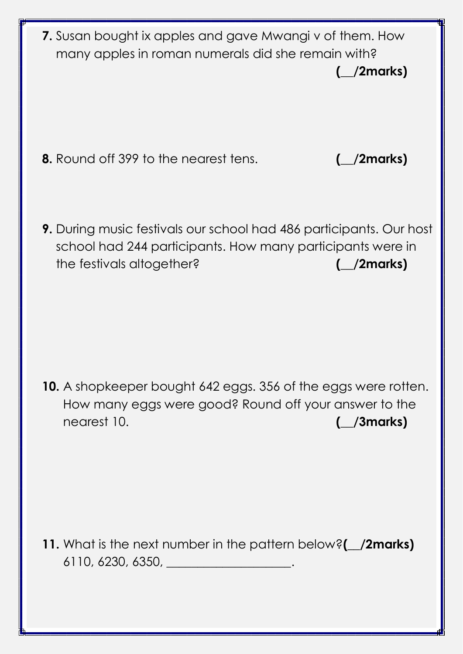**7.** Susan bought ix apples and gave Mwangi v of them. How many apples in roman numerals did she remain with? **(\_\_/2marks)**

**8.** Round off 399 to the nearest tens. **(\_\_/2marks)**

**9.** During music festivals our school had 486 participants. Our host school had 244 participants. How many participants were in the festivals altogether? **(\_\_/2marks)**

**10.** A shopkeeper bought 642 eggs. 356 of the eggs were rotten. How many eggs were good? Round off your answer to the nearest 10. **(\_\_/3marks)**

**11.** What is the next number in the pattern below?**(\_\_/2marks)** 6110, 6230, 6350, \_\_\_\_\_\_\_\_\_\_\_\_\_\_\_\_\_\_\_\_.